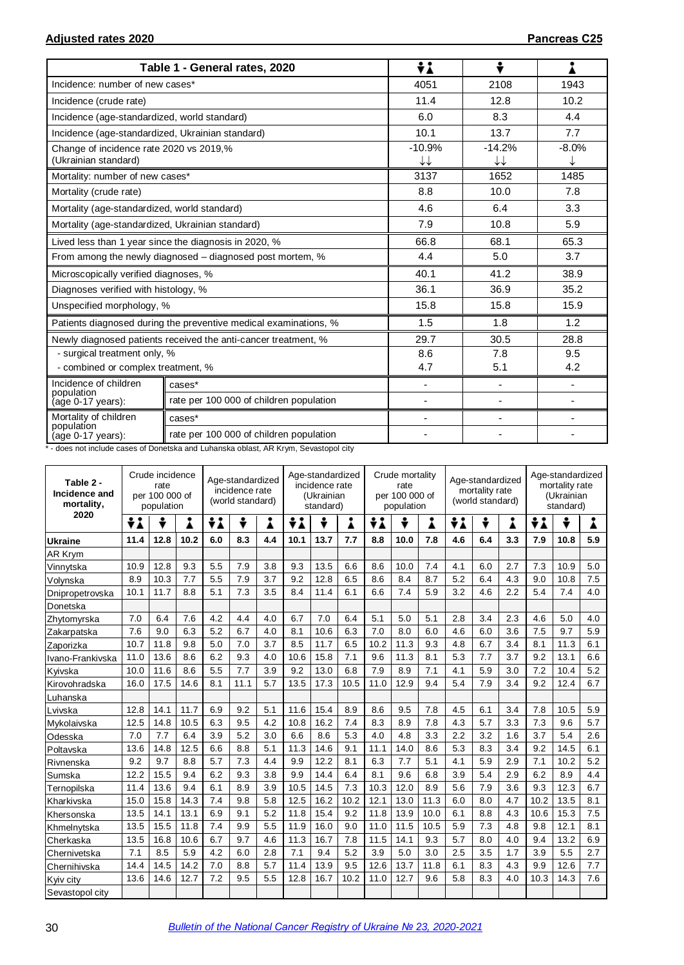|                                                                 | Table 1 - General rates, 2020                                    | ÷i                       | ÷                        |                              |
|-----------------------------------------------------------------|------------------------------------------------------------------|--------------------------|--------------------------|------------------------------|
| Incidence: number of new cases*                                 |                                                                  | 4051                     | 2108                     | 1943                         |
| Incidence (crude rate)                                          |                                                                  | 11.4                     | 12.8                     | 10.2                         |
| Incidence (age-standardized, world standard)                    |                                                                  | 6.0                      | 8.3                      | 4.4                          |
| Incidence (age-standardized, Ukrainian standard)                |                                                                  | 10.1                     | 13.7                     | 7.7                          |
| Change of incidence rate 2020 vs 2019,%<br>(Ukrainian standard) |                                                                  | $-10.9%$<br>↓↓           | $-14.2%$<br>↓↓           | $-8.0%$<br>↓                 |
| Mortality: number of new cases*                                 |                                                                  | 3137                     | 1652                     | 1485                         |
| Mortality (crude rate)                                          |                                                                  | 8.8                      | 10.0                     | 7.8                          |
| Mortality (age-standardized, world standard)                    |                                                                  | 4.6                      | 6.4                      | 3.3                          |
| Mortality (age-standardized, Ukrainian standard)                |                                                                  | 7.9                      | 10.8                     | 5.9                          |
|                                                                 | Lived less than 1 year since the diagnosis in 2020, %            | 66.8                     | 68.1                     | 65.3                         |
|                                                                 | From among the newly diagnosed – diagnosed post mortem, %        | 4.4                      | 5.0                      | 3.7                          |
| Microscopically verified diagnoses, %                           |                                                                  | 40.1                     | 41.2                     | 38.9                         |
| Diagnoses verified with histology, %                            |                                                                  | 36.1                     | 36.9                     | 35.2                         |
| Unspecified morphology, %                                       |                                                                  | 15.8                     | 15.8                     | 15.9                         |
|                                                                 | Patients diagnosed during the preventive medical examinations, % | 1.5                      | 1.8                      | 1.2                          |
|                                                                 | Newly diagnosed patients received the anti-cancer treatment, %   | 29.7                     | 30.5                     | 28.8                         |
| - surgical treatment only, %                                    |                                                                  | 8.6                      | 7.8                      | 9.5                          |
| - combined or complex treatment, %                              |                                                                  | 4.7                      | 5.1                      | 4.2                          |
| Incidence of children<br>population                             | cases*                                                           | $\overline{\phantom{a}}$ | $\overline{\phantom{a}}$ | $\qquad \qquad \blacksquare$ |
| age 0-17 years):                                                | rate per 100 000 of children population                          | -                        |                          |                              |
| Mortality of children<br>population                             | cases*                                                           | $\overline{\phantom{0}}$ | $\overline{\phantom{0}}$ |                              |
| (age 0-17 years):                                               | rate per 100 000 of children population                          |                          |                          |                              |

\* - does not include cases of Donetska and Luhanska oblast, AR Krym, Sevastopol city

| Table 2 -<br>Incidence and<br>mortality, | Crude incidence<br>rate<br>per 100 000 of<br>population |      |      | Age-standardized<br>incidence rate<br>(world standard) |      |     | Age-standardized<br>incidence rate<br>(Ukrainian<br>standard) |      |      | Crude mortality<br>rate<br>per 100 000 of<br>population |      |        | Age-standardized<br>mortality rate<br>(world standard) |     |     | Age-standardized<br>mortality rate<br>(Ukrainian<br>standard) |      |     |
|------------------------------------------|---------------------------------------------------------|------|------|--------------------------------------------------------|------|-----|---------------------------------------------------------------|------|------|---------------------------------------------------------|------|--------|--------------------------------------------------------|-----|-----|---------------------------------------------------------------|------|-----|
| 2020                                     | ÷i                                                      | ÷    | ٠    | ÷i                                                     | ÷    | Å   | ÷i                                                            | ÷    | Å    | ÷i                                                      | ÷    | ٠<br>▲ | ÷i<br>÷<br>Å                                           |     |     | ÷i                                                            | ÷    | Å   |
| Ukraine                                  | 11.4                                                    | 12.8 | 10.2 | 6.0                                                    | 8.3  | 4.4 | 10.1                                                          | 13.7 | 7.7  | 8.8                                                     | 10.0 | 7.8    | 4.6                                                    | 6.4 | 3.3 | 7.9                                                           | 10.8 | 5.9 |
| AR Krym                                  |                                                         |      |      |                                                        |      |     |                                                               |      |      |                                                         |      |        |                                                        |     |     |                                                               |      |     |
| Vinnytska                                | 10.9                                                    | 12.8 | 9.3  | 5.5                                                    | 7.9  | 3.8 | 9.3                                                           | 13.5 | 6.6  | 8.6                                                     | 10.0 | 7.4    | 4.1                                                    | 6.0 | 2.7 | 7.3                                                           | 10.9 | 5.0 |
| Volynska                                 | 8.9                                                     | 10.3 | 7.7  | 5.5                                                    | 7.9  | 3.7 | 9.2                                                           | 12.8 | 6.5  | 8.6                                                     | 8.4  | 8.7    | 5.2                                                    | 6.4 | 4.3 | 9.0                                                           | 10.8 | 7.5 |
| Dnipropetrovska                          | 10.1                                                    | 11.7 | 8.8  | 5.1                                                    | 7.3  | 3.5 | 8.4                                                           | 11.4 | 6.1  | 6.6                                                     | 7.4  | 5.9    | 3.2                                                    | 4.6 | 2.2 | 5.4                                                           | 7.4  | 4.0 |
| Donetska                                 |                                                         |      |      |                                                        |      |     |                                                               |      |      |                                                         |      |        |                                                        |     |     |                                                               |      |     |
| Zhytomyrska                              | 7.0                                                     | 6.4  | 7.6  | 4.2                                                    | 4.4  | 4.0 | 6.7                                                           | 7.0  | 6.4  | 5.1                                                     | 5.0  | 5.1    | 2.8                                                    | 3.4 | 2.3 | 4.6                                                           | 5.0  | 4.0 |
| Zakarpatska                              | 7.6                                                     | 9.0  | 6.3  | 5.2                                                    | 6.7  | 4.0 | 8.1                                                           | 10.6 | 6.3  | 7.0                                                     | 8.0  | 6.0    | 4.6                                                    | 6.0 | 3.6 | 7.5                                                           | 9.7  | 5.9 |
| Zaporizka                                | 10.7                                                    | 11.8 | 9.8  | 5.0                                                    | 7.0  | 3.7 | 8.5                                                           | 11.7 | 6.5  | 10.2                                                    | 11.3 | 9.3    | 4.8                                                    | 6.7 | 3.4 | 8.1                                                           | 11.3 | 6.1 |
| Ivano-Frankivska                         | 11.0                                                    | 13.6 | 8.6  | 6.2                                                    | 9.3  | 4.0 | 10.6                                                          | 15.8 | 7.1  | 9.6                                                     | 11.3 | 8.1    | 5.3                                                    | 7.7 | 3.7 | 9.2                                                           | 13.1 | 6.6 |
| Kyivska                                  | 10.0                                                    | 11.6 | 8.6  | 5.5                                                    | 7.7  | 3.9 | 9.2                                                           | 13.0 | 6.8  | 7.9                                                     | 8.9  | 7.1    | 4.1                                                    | 5.9 | 3.0 | 7.2                                                           | 10.4 | 5.2 |
| Kirovohradska                            | 16.0                                                    | 17.5 | 14.6 | 8.1                                                    | 11.1 | 5.7 | 13.5                                                          | 17.3 | 10.5 | 11.0                                                    | 12.9 | 9.4    | 5.4                                                    | 7.9 | 3.4 | 9.2                                                           | 12.4 | 6.7 |
| Luhanska                                 |                                                         |      |      |                                                        |      |     |                                                               |      |      |                                                         |      |        |                                                        |     |     |                                                               |      |     |
| Lvivska                                  | 12.8                                                    | 14.1 | 11.7 | 6.9                                                    | 9.2  | 5.1 | 11.6                                                          | 15.4 | 8.9  | 8.6                                                     | 9.5  | 7.8    | 4.5                                                    | 6.1 | 3.4 | 7.8                                                           | 10.5 | 5.9 |
| Mykolaivska                              | 12.5                                                    | 14.8 | 10.5 | 6.3                                                    | 9.5  | 4.2 | 10.8                                                          | 16.2 | 7.4  | 8.3                                                     | 8.9  | 7.8    | 4.3                                                    | 5.7 | 3.3 | 7.3                                                           | 9.6  | 5.7 |
| Odesska                                  | 7.0                                                     | 7.7  | 6.4  | 3.9                                                    | 5.2  | 3.0 | 6.6                                                           | 8.6  | 5.3  | 4.0                                                     | 4.8  | 3.3    | 2.2                                                    | 3.2 | 1.6 | 3.7                                                           | 5.4  | 2.6 |
| Poltavska                                | 13.6                                                    | 14.8 | 12.5 | 6.6                                                    | 8.8  | 5.1 | 11.3                                                          | 14.6 | 9.1  | 11.1                                                    | 14.0 | 8.6    | 5.3                                                    | 8.3 | 3.4 | 9.2                                                           | 14.5 | 6.1 |
| Rivnenska                                | 9.2                                                     | 9.7  | 8.8  | 5.7                                                    | 7.3  | 4.4 | 9.9                                                           | 12.2 | 8.1  | 6.3                                                     | 7.7  | 5.1    | 4.1                                                    | 5.9 | 2.9 | 7.1                                                           | 10.2 | 5.2 |
| Sumska                                   | 12.2                                                    | 15.5 | 9.4  | 6.2                                                    | 9.3  | 3.8 | 9.9                                                           | 14.4 | 6.4  | 8.1                                                     | 9.6  | 6.8    | 3.9                                                    | 5.4 | 2.9 | 6.2                                                           | 8.9  | 4.4 |
| Ternopilska                              | 11.4                                                    | 13.6 | 9.4  | 6.1                                                    | 8.9  | 3.9 | 10.5                                                          | 14.5 | 7.3  | 10.3                                                    | 12.0 | 8.9    | 5.6                                                    | 7.9 | 3.6 | 9.3                                                           | 12.3 | 6.7 |
| Kharkivska                               | 15.0                                                    | 15.8 | 14.3 | 7.4                                                    | 9.8  | 5.8 | 12.5                                                          | 16.2 | 10.2 | 12.1                                                    | 13.0 | 11.3   | 6.0                                                    | 8.0 | 4.7 | 10.2                                                          | 13.5 | 8.1 |
| Khersonska                               | 13.5                                                    | 14.1 | 13.1 | 6.9                                                    | 9.1  | 5.2 | 11.8                                                          | 15.4 | 9.2  | 11.8                                                    | 13.9 | 10.0   | 6.1                                                    | 8.8 | 4.3 | 10.6                                                          | 15.3 | 7.5 |
| Khmelnytska                              | 13.5                                                    | 15.5 | 11.8 | 7.4                                                    | 9.9  | 5.5 | 11.9                                                          | 16.0 | 9.0  | 11.0                                                    | 11.5 | 10.5   | 5.9                                                    | 7.3 | 4.8 | 9.8                                                           | 12.1 | 8.1 |
| Cherkaska                                | 13.5                                                    | 16.8 | 10.6 | 6.7                                                    | 9.7  | 4.6 | 11.3                                                          | 16.7 | 7.8  | 11.5                                                    | 14.1 | 9.3    | 5.7                                                    | 8.0 | 4.0 | 9.4                                                           | 13.2 | 6.9 |
| Chernivetska                             | 7.1                                                     | 8.5  | 5.9  | 4.2                                                    | 6.0  | 2.8 | 7.1                                                           | 9.4  | 5.2  | 3.9                                                     | 5.0  | 3.0    | 2.5                                                    | 3.5 | 1.7 | 3.9                                                           | 5.5  | 2.7 |
| Chernihivska                             | 14.4                                                    | 14.5 | 14.2 | 7.0                                                    | 8.8  | 5.7 | 11.4                                                          | 13.9 | 9.5  | 12.6                                                    | 13.7 | 11.8   | 6.1                                                    | 8.3 | 4.3 | 9.9                                                           | 12.6 | 7.7 |
| Kviv city                                | 13.6                                                    | 14.6 | 12.7 | 7.2                                                    | 9.5  | 5.5 | 12.8                                                          | 16.7 | 10.2 | 11.0                                                    | 12.7 | 9.6    | 5.8                                                    | 8.3 | 4.0 | 10.3                                                          | 14.3 | 7.6 |
| Sevastopol city                          |                                                         |      |      |                                                        |      |     |                                                               |      |      |                                                         |      |        |                                                        |     |     |                                                               |      |     |